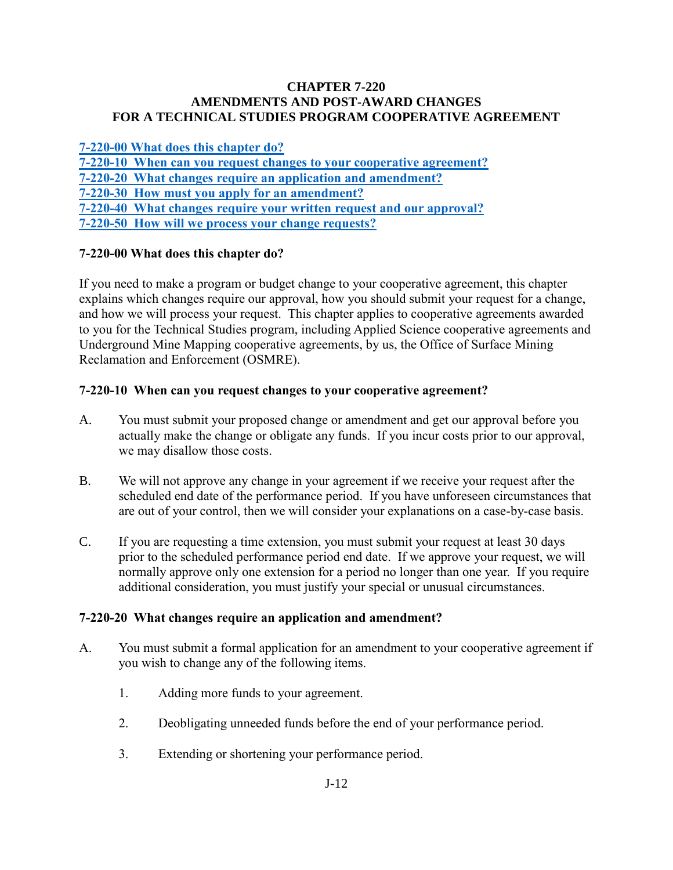## **CHAPTER 7-220 AMENDMENTS AND POST-AWARD CHANGES FOR A TECHNICAL STUDIES PROGRAM COOPERATIVE AGREEMENT**

**[7-220-00 What does this chapter do?](#page-0-0) [7-220-10 When can you request changes to your cooperative agreement?](#page-0-1) [7-220-20 What changes require an application and amendment?](#page-0-2) [7-220-30 How must you apply for an amendment?](#page-1-0) [7-220-40 What changes require your written request and our approval?](#page-1-1) [7-220-50 How will we process your change requests?](#page-2-0)** 

# <span id="page-0-0"></span>**7-220-00 What does this chapter do?**

If you need to make a program or budget change to your cooperative agreement, this chapter explains which changes require our approval, how you should submit your request for a change, and how we will process your request. This chapter applies to cooperative agreements awarded to you for the Technical Studies program, including Applied Science cooperative agreements and Underground Mine Mapping cooperative agreements, by us, the Office of Surface Mining Reclamation and Enforcement (OSMRE).

## <span id="page-0-1"></span>**7-220-10 When can you request changes to your cooperative agreement?**

- A. You must submit your proposed change or amendment and get our approval before you actually make the change or obligate any funds. If you incur costs prior to our approval, we may disallow those costs.
- B. We will not approve any change in your agreement if we receive your request after the scheduled end date of the performance period. If you have unforeseen circumstances that are out of your control, then we will consider your explanations on a case-by-case basis.
- C. If you are requesting a time extension, you must submit your request at least 30 days prior to the scheduled performance period end date. If we approve your request, we will normally approve only one extension for a period no longer than one year. If you require additional consideration, you must justify your special or unusual circumstances.

#### <span id="page-0-2"></span>**7-220-20 What changes require an application and amendment?**

- A. You must submit a formal application for an amendment to your cooperative agreement if you wish to change any of the following items.
	- 1. Adding more funds to your agreement.
	- 2. Deobligating unneeded funds before the end of your performance period.
	- 3. Extending or shortening your performance period.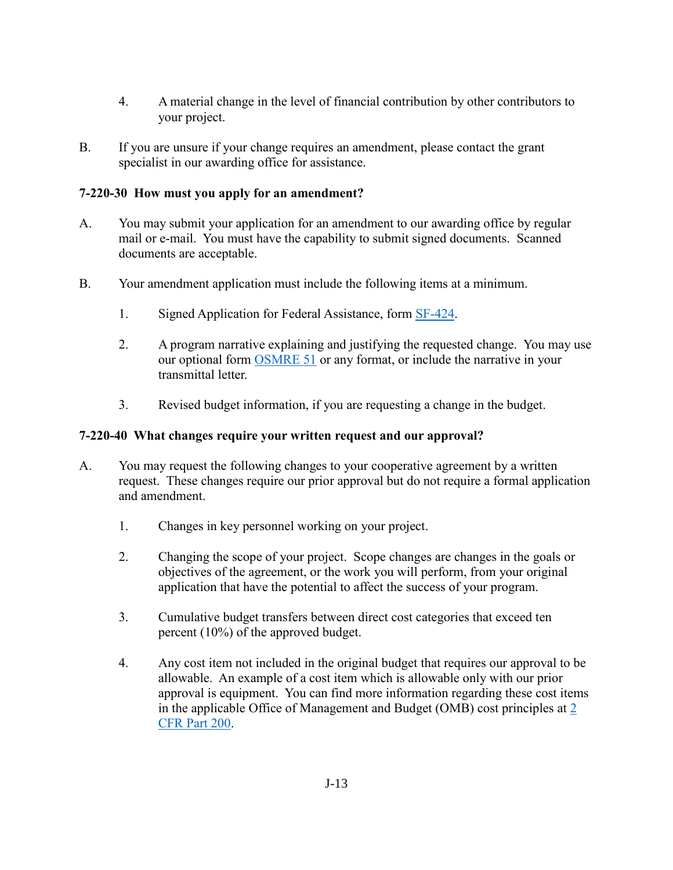- 4. A material change in the level of financial contribution by other contributors to your project.
- B. If you are unsure if your change requires an amendment, please contact the grant specialist in our awarding office for assistance.

# <span id="page-1-0"></span>**7-220-30 How must you apply for an amendment?**

- A. You may submit your application for an amendment to our awarding office by regular mail or e-mail. You must have the capability to submit signed documents. Scanned documents are acceptable.
- B. Your amendment application must include the following items at a minimum.
	- 1. Signed Application for Federal Assistance, form [SF-424.](http://apply07.grants.gov/apply/forms/sample/SF424_2_1-V2.1.pdf)
	- 2. A program narrative explaining and justifying the requested change. You may use our optional form [OSMRE 51](http://www.osmre.gov/resources/forms/OSM51.pdf) or any format, or include the narrative in your transmittal letter.
	- 3. Revised budget information, if you are requesting a change in the budget.

# <span id="page-1-1"></span>**7-220-40 What changes require your written request and our approval?**

- A. You may request the following changes to your cooperative agreement by a written request. These changes require our prior approval but do not require a formal application and amendment.
	- 1. Changes in key personnel working on your project.
	- 2. Changing the scope of your project. Scope changes are changes in the goals or objectives of the agreement, or the work you will perform, from your original application that have the potential to affect the success of your program.
	- 3. Cumulative budget transfers between direct cost categories that exceed ten percent (10%) of the approved budget.
	- 4. Any cost item not included in the original budget that requires our approval to be allowable. An example of a cost item which is allowable only with our prior approval is equipment. You can find more information regarding these cost items in the applicable Office of Management and Budget (OMB) cost principles at [2](http://www.ecfr.gov/cgi-bin/text-idx?SID=704683b1fd8e579c28d796d8b73e0e79&node=pt2.1.200&rgn=div5)  [CFR Part 200.](http://www.ecfr.gov/cgi-bin/text-idx?SID=704683b1fd8e579c28d796d8b73e0e79&node=pt2.1.200&rgn=div5)